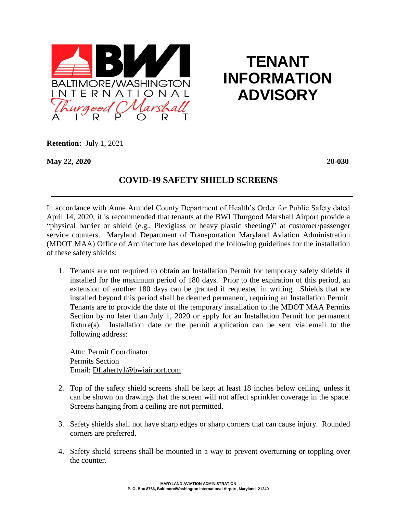

## **TENANT INFORMATION ADVISORY**

**Retention:** July 1, 2021

**May 22, 2020 20-030**

## **COVID-19 SAFETY SHIELD SCREENS**

In accordance with Anne Arundel County Department of Health's Order for Public Safety dated April 14, 2020, it is recommended that tenants at the BWI Thurgood Marshall Airport provide a "physical barrier or shield (e.g., Plexiglass or heavy plastic sheeting)" at customer/passenger service counters. Maryland Department of Transportation Maryland Aviation Administration (MDOT MAA) Office of Architecture has developed the following guidelines for the installation of these safety shields:

1. Tenants are not required to obtain an Installation Permit for temporary safety shields if installed for the maximum period of 180 days. Prior to the expiration of this period, an extension of another 180 days can be granted if requested in writing. Shields that are installed beyond this period shall be deemed permanent, requiring an Installation Permit. Tenants are to provide the date of the temporary installation to the MDOT MAA Permits Section by no later than July 1, 2020 or apply for an Installation Permit for permanent fixture(s). Installation date or the permit application can be sent via email to the following address:

Attn: Permit Coordinator Permits Section Email: [Dflaherty1@bwiairport.com](mailto:Dflaherty1@bwiairport.com)

- 2. Top of the safety shield screens shall be kept at least 18 inches below ceiling, unless it can be shown on drawings that the screen will not affect sprinkler coverage in the space. Screens hanging from a ceiling are not permitted.
- 3. Safety shields shall not have sharp edges or sharp corners that can cause injury. Rounded corners are preferred.
- 4. Safety shield screens shall be mounted in a way to prevent overturning or toppling over the counter.